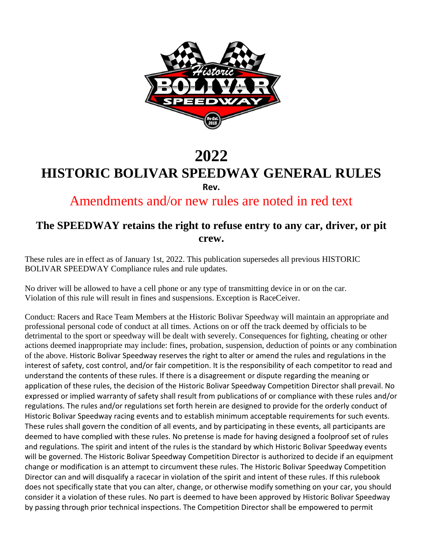

# **2022 HISTORIC BOLIVAR SPEEDWAY GENERAL RULES Rev.**

Amendments and/or new rules are noted in red text

## **The SPEEDWAY retains the right to refuse entry to any car, driver, or pit crew.**

These rules are in effect as of January 1st, 2022. This publication supersedes all previous HISTORIC BOLIVAR SPEEDWAY Compliance rules and rule updates.

No driver will be allowed to have a cell phone or any type of transmitting device in or on the car. Violation of this rule will result in fines and suspensions. Exception is RaceCeiver.

Conduct: Racers and Race Team Members at the Historic Bolivar Speedway will maintain an appropriate and professional personal code of conduct at all times. Actions on or off the track deemed by officials to be detrimental to the sport or speedway will be dealt with severely. Consequences for fighting, cheating or other actions deemed inappropriate may include: fines, probation, suspension, deduction of points or any combination of the above. Historic Bolivar Speedway reserves the right to alter or amend the rules and regulations in the interest of safety, cost control, and/or fair competition. It is the responsibility of each competitor to read and understand the contents of these rules. If there is a disagreement or dispute regarding the meaning or application of these rules, the decision of the Historic Bolivar Speedway Competition Director shall prevail. No expressed or implied warranty of safety shall result from publications of or compliance with these rules and/or regulations. The rules and/or regulations set forth herein are designed to provide for the orderly conduct of Historic Bolivar Speedway racing events and to establish minimum acceptable requirements for such events. These rules shall govern the condition of all events, and by participating in these events, all participants are deemed to have complied with these rules. No pretense is made for having designed a foolproof set of rules and regulations. The spirit and intent of the rules is the standard by which Historic Bolivar Speedway events will be governed. The Historic Bolivar Speedway Competition Director is authorized to decide if an equipment change or modification is an attempt to circumvent these rules. The Historic Bolivar Speedway Competition Director can and will disqualify a racecar in violation of the spirit and intent of these rules. If this rulebook does not specifically state that you can alter, change, or otherwise modify something on your car, you should consider it a violation of these rules. No part is deemed to have been approved by Historic Bolivar Speedway by passing through prior technical inspections. The Competition Director shall be empowered to permit